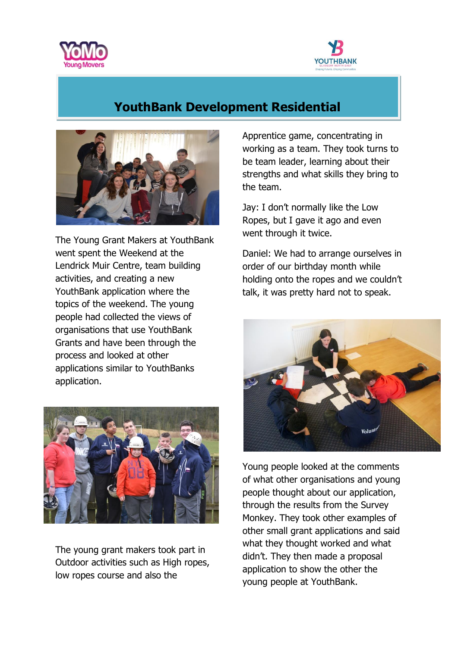



## **YouthBank Development Residential**



The Young Grant Makers at YouthBank went spent the Weekend at the Lendrick Muir Centre, team building activities, and creating a new YouthBank application where the topics of the weekend. The young people had collected the views of organisations that use YouthBank Grants and have been through the process and looked at other applications similar to YouthBanks application.



The young grant makers took part in Outdoor activities such as High ropes, low ropes course and also the

Apprentice game, concentrating in working as a team. They took turns to be team leader, learning about their strengths and what skills they bring to the team.

Jay: I don't normally like the Low Ropes, but I gave it ago and even went through it twice.

Daniel: We had to arrange ourselves in order of our birthday month while holding onto the ropes and we couldn't talk, it was pretty hard not to speak.



Young people looked at the comments of what other organisations and young people thought about our application, through the results from the Survey Monkey. They took other examples of other small grant applications and said what they thought worked and what didn't. They then made a proposal application to show the other the young people at YouthBank.